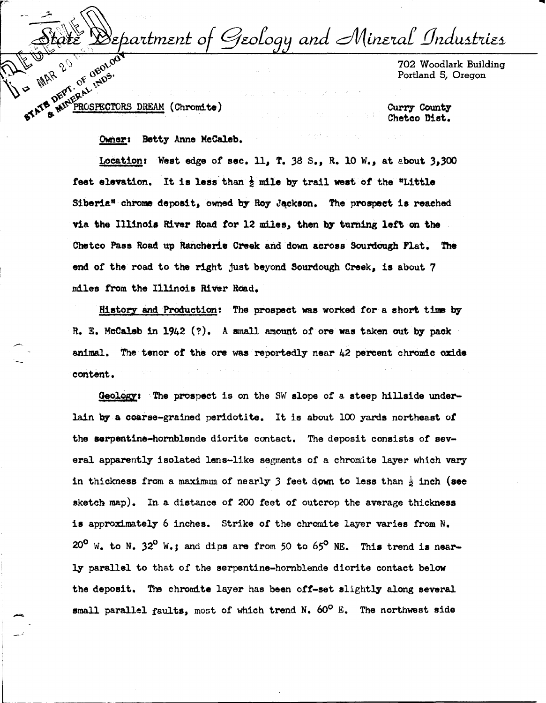Geology and Mineral Industries 8eþartment of STATE MATERIAL INDS.

702 Woodlark Building Portland 5, Oregon

PROSPECTORS DREAM (Chromite)

~

Curry County Chetco Dist.

Owner: Betty Anne McCaleb.

Location: West edge or sec. 11, T. 38 s., R. 10 w., at about 3,300 feet elevation. It is less than  $\frac{1}{2}$  mile by trail west of the "Little Siberia" chrome deposit, owned by Roy Jackson. The prospect is reached via the IU1no1a River Road *tor-* 12 miles, then b7 tuming left on the Chetco Pass Road up Rancherie Creek and down across Sourdough Flat. The end of the road to the right just beyond Sourdough Creek, is about 7 miles from the Illinois River Read.

History and Production: !he prospect was worked for a short time by R. E. McCaleb 1n 1942 (?). A small amount of ore was taken out by pack animal. The tenor of the ore was reportedly near 42 percent chromic oxide content.

Geology: "The prospect is on the SW slope of a steep hillside underlain by a coarse-grained peridotite. It is about 100 yards northeast *ot*  the serpentine-hornblende diorite contact. The deposit consists of several apparently isolated lens-like segments of a chromite layer which vary in thickness from a maximum of nearly  $3$  feet dpwn to less than  $\frac{1}{2}$  inch (see sketch map). In a distance of 200 feet of outcrop the average thickness is approximately 6 inches. Strike of the chromite layer varies from N. 20<sup>°</sup> W. to N. 32<sup>°</sup> W.: and dips are from 50 to 65<sup>°</sup> NE. This trend is nearly parallel to that of the serpentine-hornblende diorite contact below the deposit. The chromite layer has been off-set slightly along several small parallel faults, most of which trend N. 60° *E.* The northwest aide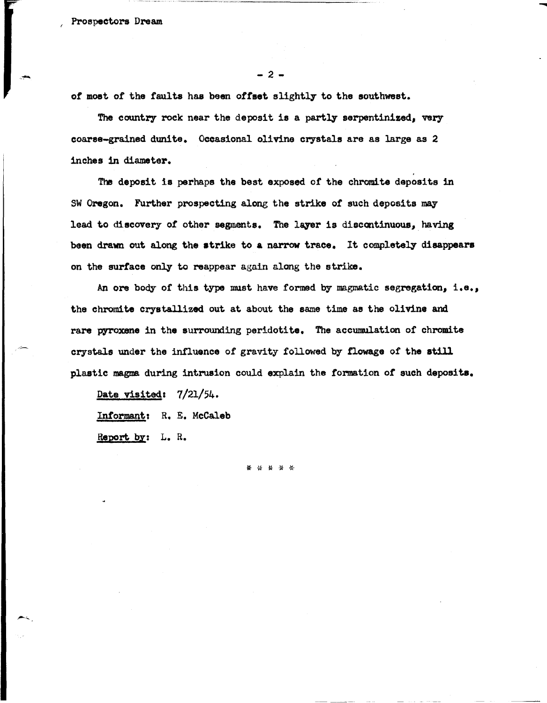$-2-$ 

-

of most of the faults has been offset slightly to the southwest.

The country rock near the deposit is a partly serpentinized, very coarse-grained dunite. Occasional olivine crystals are as large as 2 inches 1n diameter.

The deposit ia perhaps the best exposed of the chromite deposits in SW Oregon. Further prospecting along the strike of such deposits may lead to discovery of other segments. The layer is discontinuous, having been drawn out along the trike to **a** narrow trace. It completely **disappears**  on the surface only to reappear again along the strike.

An ore body of this type must have formed by magmatic segregation, i.e., the chromite crystallized out at about the same time as the olivine and rare pyroxene in the surrounding peridotite. The accumulation of chromite crystals under the influence of gravity followed by fiowage of the still plastic magma during intrusion could explain the formation of such **deposits.** 

Date visited: 7/21/54.

Inrormanti R. E. Mccaleb

**Report by:** L. R.

 $\leftarrow$ 

\* \* \* \* \*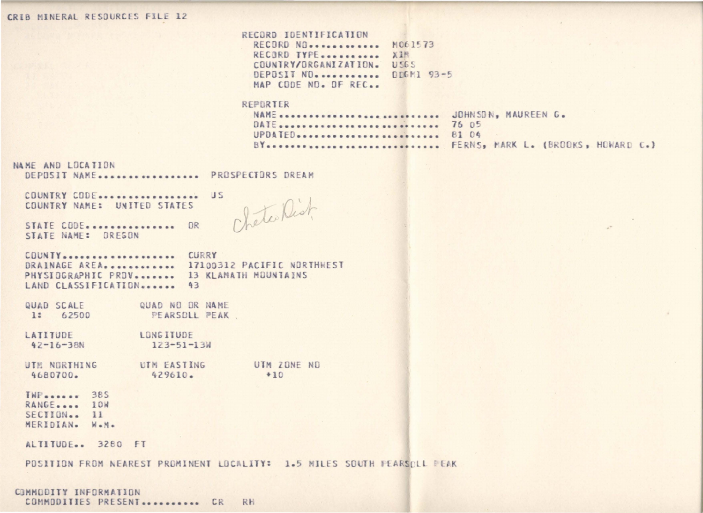## CRIB MINERAL RESOURCES FILE 12

|  | RECURD IDENTIFICATION |  |  |  |  |  |
|--|-----------------------|--|--|--|--|--|
|  |                       |  |  |  |  |  |
|  |                       |  |  |  |  |  |
|  |                       |  |  |  |  |  |

RECORD NO. ............ M061573 RECORD TYPE........... XIM COUNTRY/ORGANIZATION. USES DEPOSIT NO. .......... DDGM1 93-5 MAP CODE ND. OF REC..

## REPORTER

| NAME  JOHNSDN, MAUREEN G. |                                       |
|---------------------------|---------------------------------------|
|                           |                                       |
| UPDATED 81 04             |                                       |
|                           | BY FERNS, MARK L. (BROOKS, HOWARD C.) |

## NAME AND LOCATION

DEPOSIT NAME................ PROSPECTORS DREAM

COUNTRY CODE................. US COUNTRY NAME: UNITED STATES

Cheterlist

STATE CODE................ OR STATE NAME: DRESON

COUNTY................... CURRY DRAINAGE AREA............ 17100312 PACIFIC NORTHWEST PHYSIDGRAPHIC PRDV....... 13 KLAMATH MOUNTAINS LAND CLASSIFICATION....... 43

QUAD SCALE QUAD NO OR NAME 1: 62500 PEARSOLL PEAK

LATITUDE LONG ITUDE  $123 - 51 - 13W$  $42 - 16 - 38N$ 

UTM ZONE ND UTM NORTHING UTM EASTING 4680700. 429610.  $+10$ 

**TWP**...... 385 RANGE..... 10W SECTION... 11 MERIDIAN. W.M.

ALTITUDE.. 3280 FT

POSITION FROM NEAREST PROMINENT LOCALITY: 1.5 MILES SOUTH PEARSOLL PEAK

COMMODITY INFORMATION COMMODITIES PRESENT ........... CR RH